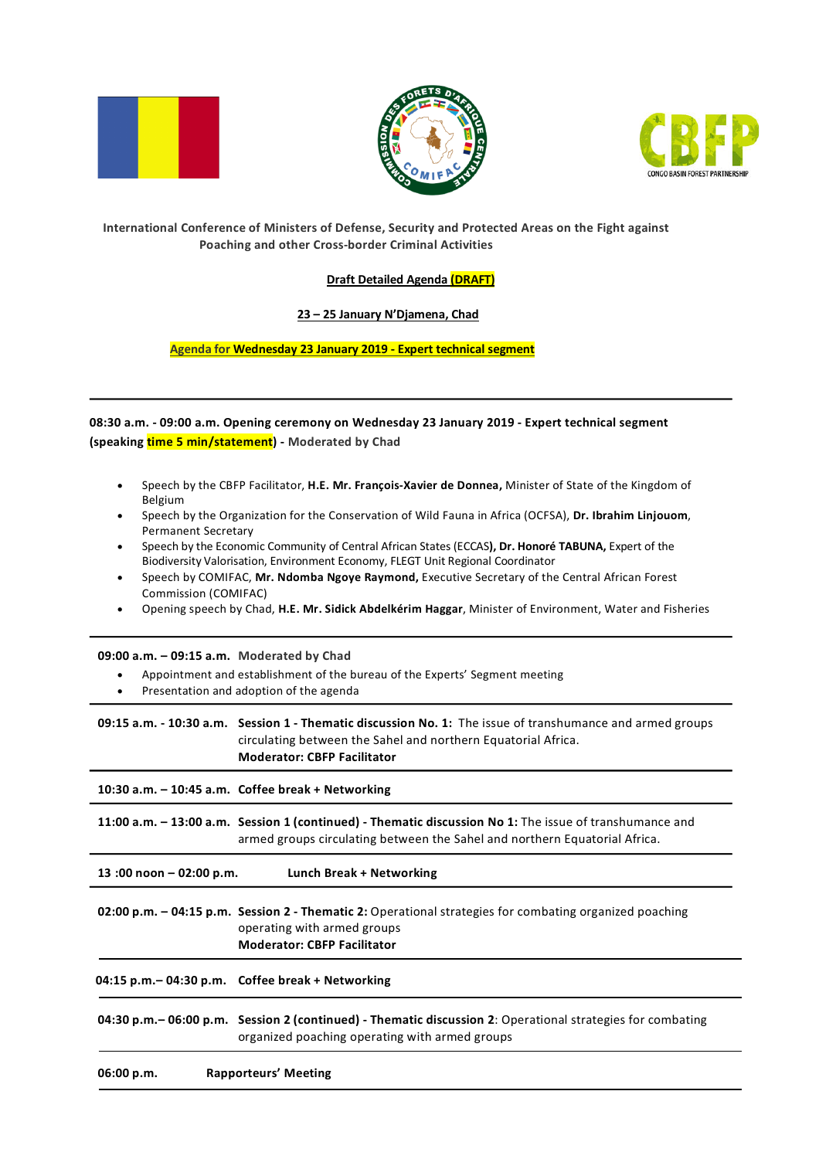





## **International Conference of Ministers of Defense, Security and Protected Areas on the Fight against Poaching and other Cross-border Criminal Activities**

## **Draft Detailed Agenda (DRAFT)**

### **23 – 25 January N'Djamena, Chad**

**Agenda for Wednesday 23 January 2019 - Expert technical segment**

**08:30 a.m. - 09:00 a.m. Opening ceremony on Wednesday 23 January 2019 - Expert technical segment (speaking time 5 min/statement) - Moderated by Chad**

- Speech by the CBFP Facilitator, **H.E. Mr. François-Xavier de Donnea,** Minister of State of the Kingdom of Belgium
- Speech by the Organization for the Conservation of Wild Fauna in Africa (OCFSA), **Dr. Ibrahim Linjouom**, Permanent Secretary
- Speech by the Economic Community of Central African States (ECCAS**), Dr. Honoré TABUNA,** Expert of the Biodiversity Valorisation, Environment Economy, FLEGT Unit Regional Coordinator
- Speech by COMIFAC, **Mr. Ndomba Ngoye Raymond,** Executive Secretary of the Central African Forest Commission (COMIFAC)
- Opening speech by Chad, **H.E. Mr. Sidick Abdelkérim Haggar**, Minister of Environment, Water and Fisheries

#### **09:00 a.m. – 09:15 a.m. Moderated by Chad**

- Appointment and establishment of the bureau of the Experts' Segment meeting
- Presentation and adoption of the agenda

**09:15 a.m. - 10:30 a.m. Session 1 - Thematic discussion No. 1:** The issue of transhumance and armed groups circulating between the Sahel and northern Equatorial Africa. **Moderator: CBFP Facilitator**

**10:30 a.m. – 10:45 a.m. Coffee break + Networking 11:00 a.m. – 13:00 a.m. Session 1 (continued) - Thematic discussion No 1:** The issue of transhumance and armed groups circulating between the Sahel and northern Equatorial Africa.

**13 :00 noon – 02:00 p.m. Lunch Break + Networking**

**02:00 p.m. – 04:15 p.m. Session 2 - Thematic 2:** Operational strategies for combating organized poaching operating with armed groups **Moderator: CBFP Facilitator**

 **04:15 p.m.– 04:30 p.m. Coffee break + Networking**

**04:30 p.m.– 06:00 p.m. Session 2 (continued) - Thematic discussion 2**: Operational strategies for combating organized poaching operating with armed groups

**06:00 p.m. Rapporteurs' Meeting**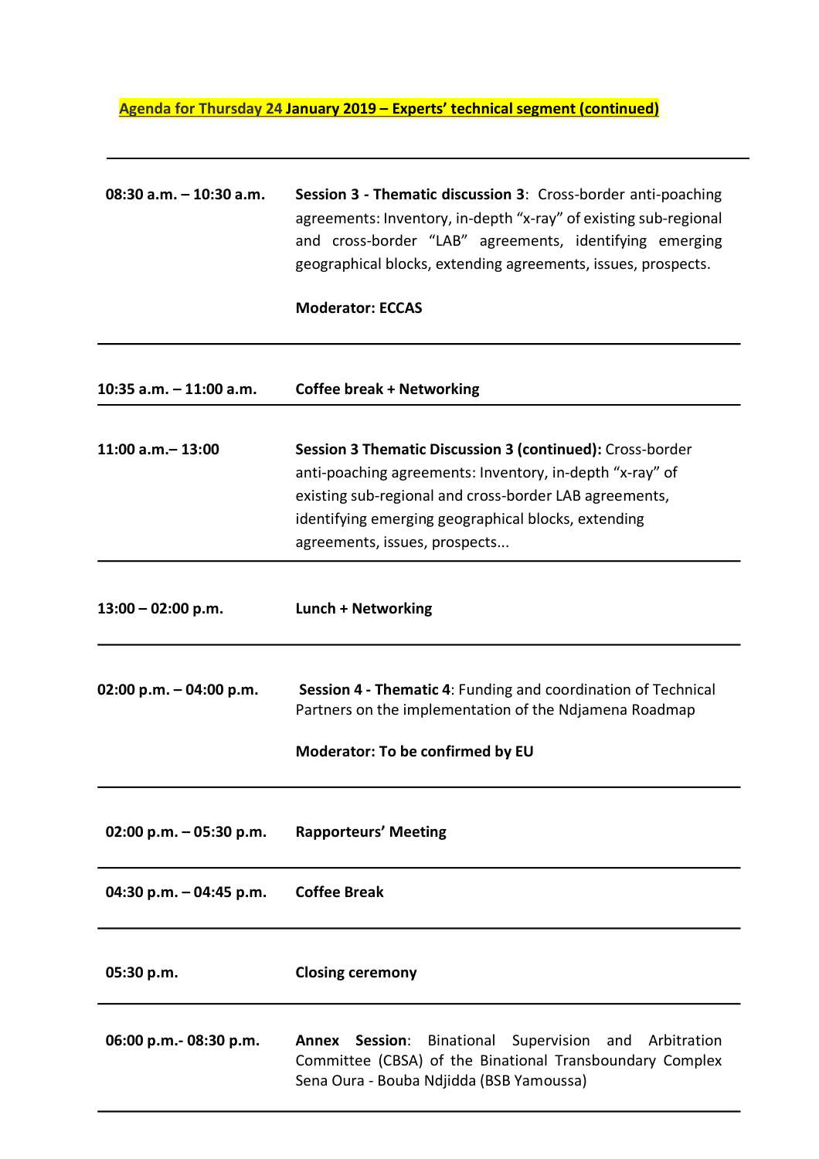# **Agenda for Thursday 24 January 2019 – Experts' technical segment (continued)**

| 08:30 a.m. $-10:30$ a.m.  | Session 3 - Thematic discussion 3: Cross-border anti-poaching<br>agreements: Inventory, in-depth "x-ray" of existing sub-regional<br>and cross-border "LAB" agreements, identifying emerging<br>geographical blocks, extending agreements, issues, prospects.           |
|---------------------------|-------------------------------------------------------------------------------------------------------------------------------------------------------------------------------------------------------------------------------------------------------------------------|
|                           | <b>Moderator: ECCAS</b>                                                                                                                                                                                                                                                 |
| 10:35 $a.m. - 11:00 a.m.$ | <b>Coffee break + Networking</b>                                                                                                                                                                                                                                        |
| $11:00$ a.m. $-13:00$     | Session 3 Thematic Discussion 3 (continued): Cross-border<br>anti-poaching agreements: Inventory, in-depth "x-ray" of<br>existing sub-regional and cross-border LAB agreements,<br>identifying emerging geographical blocks, extending<br>agreements, issues, prospects |
| $13:00 - 02:00 p.m.$      | Lunch + Networking                                                                                                                                                                                                                                                      |
| 02:00 p.m. $-$ 04:00 p.m. | Session 4 - Thematic 4: Funding and coordination of Technical<br>Partners on the implementation of the Ndjamena Roadmap<br>Moderator: To be confirmed by EU                                                                                                             |
| 02:00 p.m. $-$ 05:30 p.m. | <b>Rapporteurs' Meeting</b>                                                                                                                                                                                                                                             |
| 04:30 p.m. $-$ 04:45 p.m. | <b>Coffee Break</b>                                                                                                                                                                                                                                                     |
| 05:30 p.m.                | <b>Closing ceremony</b>                                                                                                                                                                                                                                                 |
| 06:00 p.m.- 08:30 p.m.    | Binational<br>Supervision and Arbitration<br><b>Annex</b><br>Session:<br>Committee (CBSA) of the Binational Transboundary Complex<br>Sena Oura - Bouba Ndjidda (BSB Yamoussa)                                                                                           |